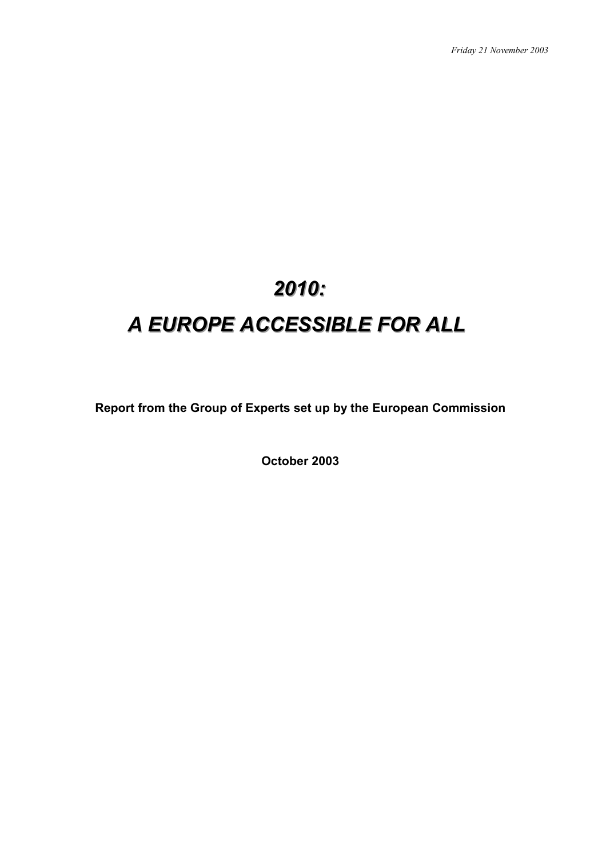# 2010: **A** EUROPE ACCESSIBLE FOR ALL

**Report from the Group of Experts set up by the European Commission**

**October 2003**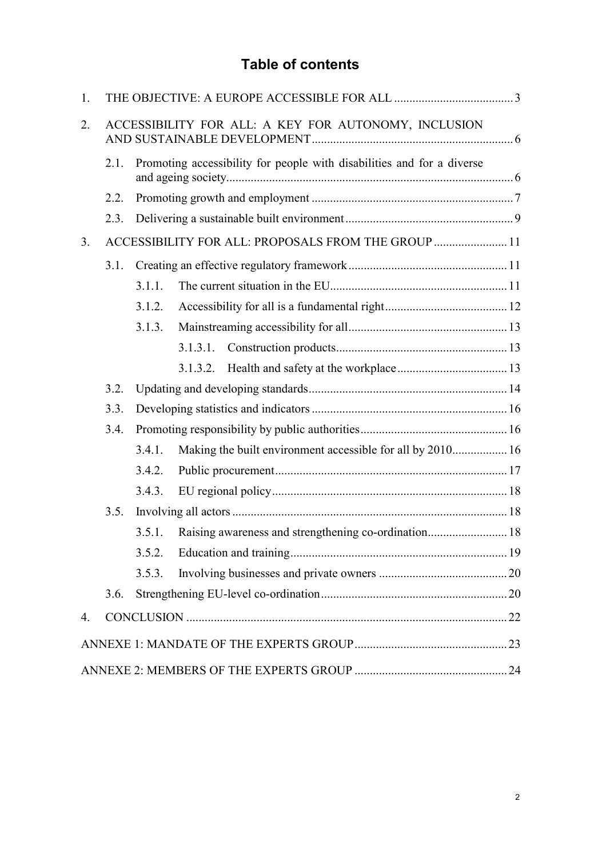# **Table of contents**

| 1.             |                                                      |                                                                        |  |  |
|----------------|------------------------------------------------------|------------------------------------------------------------------------|--|--|
| 2.             | ACCESSIBILITY FOR ALL: A KEY FOR AUTONOMY, INCLUSION |                                                                        |  |  |
|                | 2.1.                                                 | Promoting accessibility for people with disabilities and for a diverse |  |  |
|                | 2.2.                                                 |                                                                        |  |  |
|                | 2.3.                                                 |                                                                        |  |  |
| 3 <sub>1</sub> |                                                      | ACCESSIBILITY FOR ALL: PROPOSALS FROM THE GROUP  11                    |  |  |
|                | 3.1.                                                 |                                                                        |  |  |
|                |                                                      | 3.1.1.                                                                 |  |  |
|                |                                                      | 3.1.2.                                                                 |  |  |
|                |                                                      | 3.1.3.                                                                 |  |  |
|                |                                                      | 3.1.3.1.                                                               |  |  |
|                |                                                      | 3.1.3.2.                                                               |  |  |
|                | 3.2.                                                 |                                                                        |  |  |
|                | 3.3.                                                 |                                                                        |  |  |
|                | 3.4.                                                 |                                                                        |  |  |
|                |                                                      | Making the built environment accessible for all by 2010 16<br>3.4.1.   |  |  |
|                |                                                      | 3.4.2.                                                                 |  |  |
|                |                                                      | 3.4.3.                                                                 |  |  |
|                | 3.5.                                                 |                                                                        |  |  |
|                |                                                      | Raising awareness and strengthening co-ordination 18<br>3.5.1.         |  |  |
|                |                                                      | 3.5.2.                                                                 |  |  |
|                |                                                      | 3.5.3.                                                                 |  |  |
|                | 3.6.                                                 |                                                                        |  |  |
| 4.             |                                                      |                                                                        |  |  |
|                |                                                      |                                                                        |  |  |
|                |                                                      |                                                                        |  |  |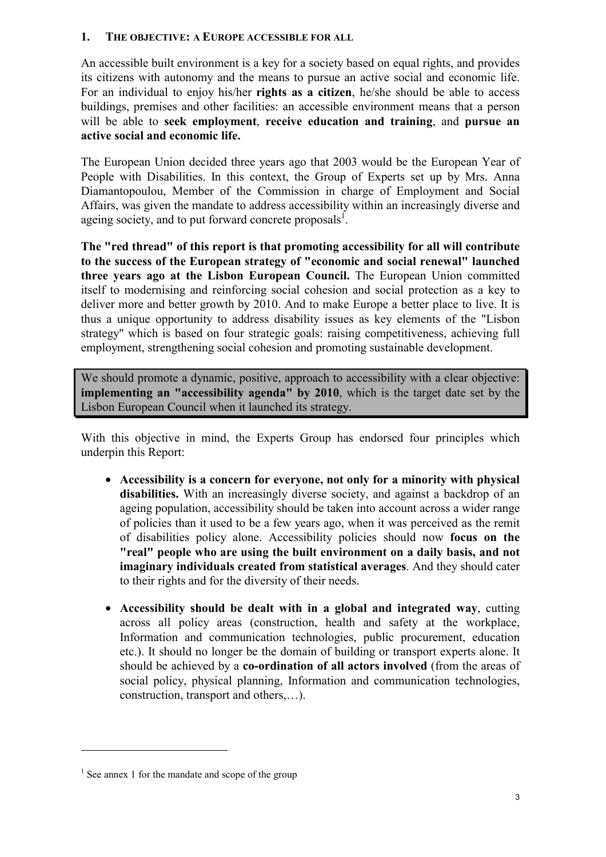#### <span id="page-2-0"></span>**1. THE OBJECTIVE: A EUROPE ACCESSIBLE FOR ALL**

An accessible built environment is a key for a society based on equal rights, and provides its citizens with autonomy and the means to pursue an active social and economic life. For an individual to enjoy his/her **rights as a citizen**, he/she should be able to access buildings, premises and other facilities: an accessible environment means that a person will be able to **seek employment**, **receive education and training**, and **pursue an active social and economic life.** 

The European Union decided three years ago that 2003 would be the European Year of People with Disabilities. In this context, the Group of Experts set up by Mrs. Anna Diamantopoulou, Member of the Commission in charge of Employment and Social Affairs, was given the mandate to address accessibility within an increasingly diverse and ageing society, and to put forward concrete proposals<sup>1</sup>.

**The "red thread" of this report is that promoting accessibility for all will contribute to the success of the European strategy of "economic and social renewal" launched three years ago at the Lisbon European Council.** The European Union committed itself to modernising and reinforcing social cohesion and social protection as a key to deliver more and better growth by 2010. And to make Europe a better place to live. It is thus a unique opportunity to address disability issues as key elements of the "Lisbon strategy" which is based on four strategic goals: raising competitiveness, achieving full employment, strengthening social cohesion and promoting sustainable development.

We should promote a dynamic, positive, approach to accessibility with a clear objective: **implementing an "accessibility agenda" by 2010**, which is the target date set by the Lisbon European Council when it launched its strategy.

With this objective in mind, the Experts Group has endorsed four principles which underpin this Report:

- **Accessibility is a concern for everyone, not only for a minority with physical disabilities.** With an increasingly diverse society, and against a backdrop of an ageing population, accessibility should be taken into account across a wider range of policies than it used to be a few years ago, when it was perceived as the remit of disabilities policy alone. Accessibility policies should now **focus on the "real" people who are using the built environment on a daily basis, and not imaginary individuals created from statistical averages**. And they should cater to their rights and for the diversity of their needs.
- **Accessibility should be dealt with in a global and integrated way**, cutting across all policy areas (construction, health and safety at the workplace, Information and communication technologies, public procurement, education etc.). It should no longer be the domain of building or transport experts alone. It should be achieved by a **co-ordination of all actors involved** (from the areas of social policy, physical planning, Information and communication technologies, construction, transport and others,…).

<span id="page-2-1"></span> $1$  See annex 1 for the mandate and scope of the group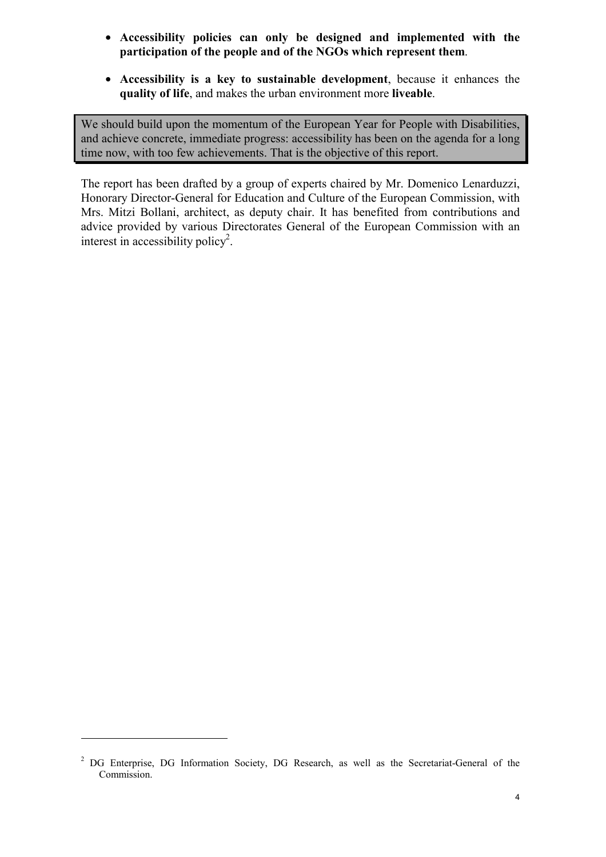- **Accessibility policies can only be designed and implemented with the participation of the people and of the NGOs which represent them**.
- **Accessibility is a key to sustainable development**, because it enhances the **quality of life**, and makes the urban environment more **liveable**.

We should build upon the momentum of the European Year for People with Disabilities, and achieve concrete, immediate progress: accessibility has been on the agenda for a long time now, with too few achievements. That is the objective of this report.

The report has been drafted by a group of experts chaired by Mr. Domenico Lenarduzzi, Honorary Director-General for Education and Culture of the European Commission, with Mrs. Mitzi Bollani, architect, as deputy chair. It has benefited from contributions and advice provided by various Directorates General of the European Commission with an interest in accessibility policy<sup>2</sup>.

<span id="page-3-0"></span><sup>&</sup>lt;sup>2</sup> DG Enterprise, DG Information Society, DG Research, as well as the Secretariat-General of the Commission.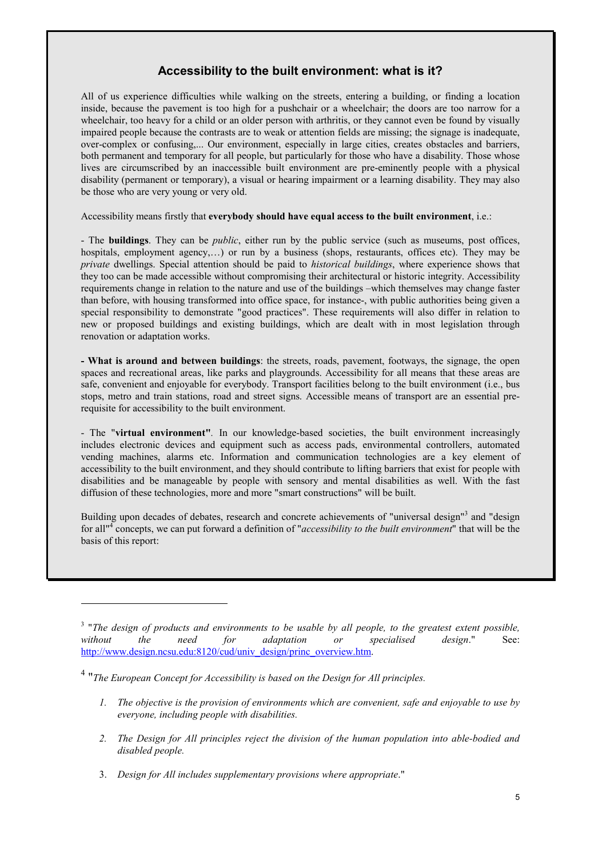#### **Accessibility to the built environment: what is it?**

<span id="page-4-1"></span>All of us experience difficulties while walking on the streets, entering a building, or finding a location inside, because the pavement is too high for a pushchair or a wheelchair; the doors are too narrow for a wheelchair, too heavy for a child or an older person with arthritis, or they cannot even be found by visually impaired people because the contrasts are to weak or attention fields are missing; the signage is inadequate, over-complex or confusing,... Our environment, especially in large cities, creates obstacles and barriers, both permanent and temporary for all people, but particularly for those who have a disability. Those whose lives are circumscribed by an inaccessible built environment are pre-eminently people with a physical disability (permanent or temporary), a visual or hearing impairment or a learning disability. They may also be those who are very young or very old.

Accessibility means firstly that **everybody should have equal access to the built environment**, i.e.:

- The **buildings**. They can be *public*, either run by the public service (such as museums, post offices, hospitals, employment agency,...) or run by a business (shops, restaurants, offices etc). They may be *private* dwellings. Special attention should be paid to *historical buildings*, where experience shows that they too can be made accessible without compromising their architectural or historic integrity. Accessibility requirements change in relation to the nature and use of the buildings –which themselves may change faster than before, with housing transformed into office space, for instance-, with public authorities being given a special responsibility to demonstrate "good practices". These requirements will also differ in relation to new or proposed buildings and existing buildings, which are dealt with in most legislation through renovation or adaptation works.

**- What is around and between buildings**: the streets, roads, pavement, footways, the signage, the open spaces and recreational areas, like parks and playgrounds. Accessibility for all means that these areas are safe, convenient and enjoyable for everybody. Transport facilities belong to the built environment (i.e., bus stops, metro and train stations, road and street signs. Accessible means of transport are an essential prerequisite for accessibility to the built environment.

- The "**virtual environment"***.* In our knowledge-based societies, the built environment increasingly includes electronic devices and equipment such as access pads, environmental controllers, automated vending machines, alarms etc. Information and communication technologies are a key element of accessibility to the built environment, and they should contribute to lifting barriers that exist for people with disabilities and be manageable by people with sensory and mental disabilities as well. With the fast diffusion of these technologies, more and more "smart constructions" will be built.

Building upon decades of debates, research and concrete achievements of "universal design"<sup>[3](#page-4-0)</sup> and "design for all<sup>"[4](#page-4-1)</sup> concepts, we can put forward a definition of "*accessibility to the built environment*" that will be the basis of this report:

- *1. The objective is the provision of environments which are convenient, safe and enjoyable to use by everyone, including people with disabilities.*
- *2. The Design for All principles reject the division of the human population into able-bodied and disabled people.*
- 3. *Design for All includes supplementary provisions where appropriate*."

<span id="page-4-0"></span><sup>3</sup> "*The design of products and environments to be usable by all people, to the greatest extent possible, without the need for adaptation or specialised design*." See: http://www.design.ncsu.edu:8120/cud/univ\_design/princ\_overview.htm.

<sup>4</sup> "*The European Concept for Accessibility is based on the Design for All principles.*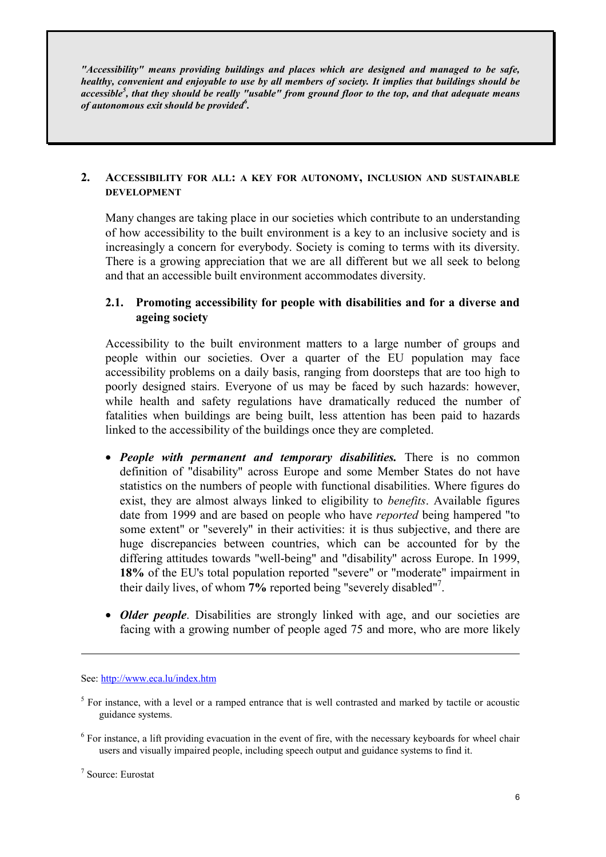*"Accessibility" means providing buildings and places which are designed and managed to be safe, healthy, convenient and enjoyable to use by all members of society. It implies that buildings should be accessible<sup>5</sup> [,](#page-5-2) that they should be really "usable" from ground floor to the top, and that adequate means of autonomous exit should be provided[6](#page-5-3) .* 

#### <span id="page-5-0"></span>**2. ACCESSIBILITY FOR ALL: A KEY FOR AUTONOMY, INCLUSION AND SUSTAINABLE DEVELOPMENT**

Many changes are taking place in our societies which contribute to an understanding of how accessibility to the built environment is a key to an inclusive society and is increasingly a concern for everybody. Society is coming to terms with its diversity. There is a growing appreciation that we are all different but we all seek to belong and that an accessible built environment accommodates diversity.

# <span id="page-5-1"></span>**2.1. Promoting accessibility for people with disabilities and for a diverse and ageing society**

Accessibility to the built environment matters to a large number of groups and people within our societies. Over a quarter of the EU population may face accessibility problems on a daily basis, ranging from doorsteps that are too high to poorly designed stairs. Everyone of us may be faced by such hazards: however, while health and safety regulations have dramatically reduced the number of fatalities when buildings are being built, less attention has been paid to hazards linked to the accessibility of the buildings once they are completed.

- *People with permanent and temporary disabilities.* There is no common definition of "disability" across Europe and some Member States do not have statistics on the numbers of people with functional disabilities. Where figures do exist, they are almost always linked to eligibility to *benefits*. Available figures date from 1999 and are based on people who have *reported* being hampered "to some extent" or "severely" in their activities: it is thus subjective, and there are huge discrepancies between countries, which can be accounted for by the differing attitudes towards "well-being" and "disability" across Europe. In 1999, **18%** of the EU's total population reported "severe" or "moderate" impairment in their daily lives, of whom **7%** reported being "severely disabled"[7](#page-5-4) .
- *Older people*. Disabilities are strongly linked with age, and our societies are facing with a growing number of people aged 75 and more, who are more likely

See: http://www.eca.lu/index.htm

<u>.</u>

<span id="page-5-2"></span> $<sup>5</sup>$  For instance, with a level or a ramped entrance that is well contrasted and marked by tactile or acoustic</sup> guidance systems.

<span id="page-5-3"></span><sup>&</sup>lt;sup>6</sup> For instance, a lift providing evacuation in the event of fire, with the necessary keyboards for wheel chair users and visually impaired people, including speech output and guidance systems to find it.

<span id="page-5-4"></span><sup>7</sup> Source: Eurostat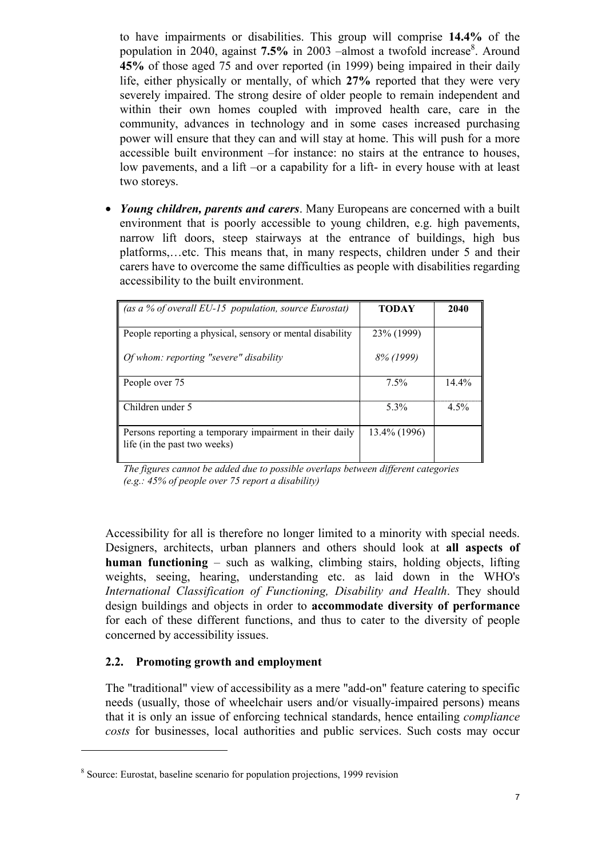to have impairments or disabilities. This group will comprise **14.4%** of the population in 2040, against 7.5% in 2003 – almost a twofold increase<sup>[8](#page-6-1)</sup>. Around **45%** of those aged 75 and over reported (in 1999) being impaired in their daily life, either physically or mentally, of which **27%** reported that they were very severely impaired. The strong desire of older people to remain independent and within their own homes coupled with improved health care, care in the community, advances in technology and in some cases increased purchasing power will ensure that they can and will stay at home. This will push for a more accessible built environment –for instance: no stairs at the entrance to houses, low pavements, and a lift –or a capability for a lift- in every house with at least two storeys.

• *Young children, parents and carers*. Many Europeans are concerned with a built environment that is poorly accessible to young children, e.g. high pavements, narrow lift doors, steep stairways at the entrance of buildings, high bus platforms,…etc. This means that, in many respects, children under 5 and their carers have to overcome the same difficulties as people with disabilities regarding accessibility to the built environment.

| (as a % of overall EU-15 population, source Eurostat)                                   | <b>TODAY</b> | 2040     |
|-----------------------------------------------------------------------------------------|--------------|----------|
| People reporting a physical, sensory or mental disability                               | 23\% (1999)  |          |
| Of whom: reporting "severe" disability                                                  | 8% (1999)    |          |
| People over 75                                                                          | $7.5\%$      | $14.4\%$ |
| Children under 5                                                                        | $5.3\%$      | $4.5\%$  |
| Persons reporting a temporary impairment in their daily<br>life (in the past two weeks) | 13.4% (1996) |          |

*The figures cannot be added due to possible overlaps between different categories (e.g.: 45% of people over 75 report a disability)*

Accessibility for all is therefore no longer limited to a minority with special needs. Designers, architects, urban planners and others should look at **all aspects of human functioning** – such as walking, climbing stairs, holding objects, lifting weights, seeing, hearing, understanding etc. as laid down in the WHO's *International Classification of Functioning, Disability and Health*. They should design buildings and objects in order to **accommodate diversity of performance** for each of these different functions, and thus to cater to the diversity of people concerned by accessibility issues.

#### <span id="page-6-0"></span>**2.2. Promoting growth and employment**

 $\overline{a}$ 

The "traditional" view of accessibility as a mere "add-on" feature catering to specific needs (usually, those of wheelchair users and/or visually-impaired persons) means that it is only an issue of enforcing technical standards, hence entailing *compliance costs* for businesses, local authorities and public services. Such costs may occur

<span id="page-6-1"></span><sup>8</sup> Source: Eurostat, baseline scenario for population projections, 1999 revision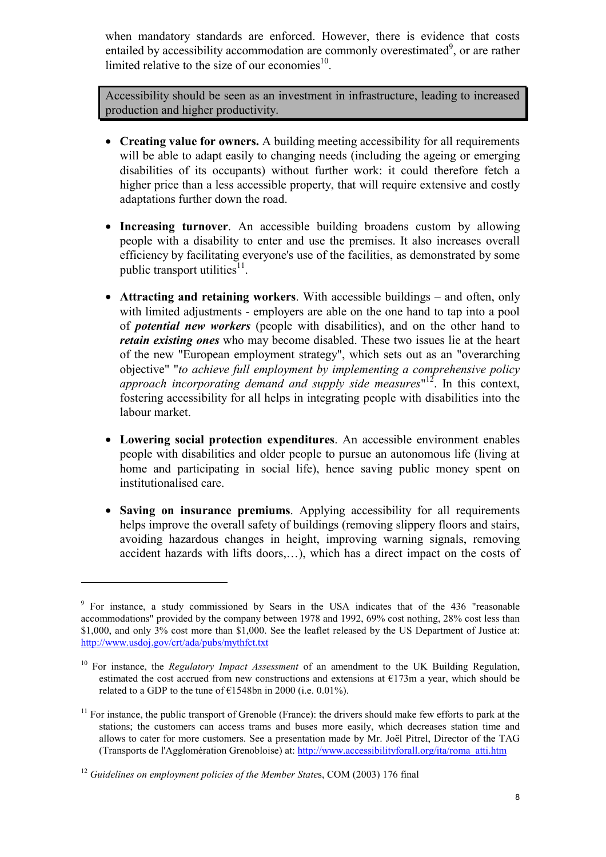when mandatory standards are enforced. However, there is evidence that costs entailed by accessibility accommodation are commonly overestimated $9$ , or are rather limited relative to the size of our economies $10$ .

Accessibility should be seen as an investment in infrastructure, leading to increased production and higher productivity.

- **Creating value for owners.** A building meeting accessibility for all requirements will be able to adapt easily to changing needs (including the ageing or emerging disabilities of its occupants) without further work: it could therefore fetch a higher price than a less accessible property, that will require extensive and costly adaptations further down the road.
- **Increasing turnover**. An accessible building broadens custom by allowing people with a disability to enter and use the premises. It also increases overall efficiency by facilitating everyone's use of the facilities, as demonstrated by some public transport utilities $11$ .
- **Attracting and retaining workers**. With accessible buildings and often, only with limited adjustments - employers are able on the one hand to tap into a pool of *potential new workers* (people with disabilities), and on the other hand to *retain existing ones* who may become disabled. These two issues lie at the heart of the new "European employment strategy", which sets out as an "overarching objective" "*to achieve full employment by implementing a comprehensive policy approach incorporating demand and supply side measures*" [12.](#page-7-3) In this context, fostering accessibility for all helps in integrating people with disabilities into the labour market.
- **Lowering social protection expenditures**. An accessible environment enables people with disabilities and older people to pursue an autonomous life (living at home and participating in social life), hence saving public money spent on institutionalised care.
- **Saving on insurance premiums**. Applying accessibility for all requirements helps improve the overall safety of buildings (removing slippery floors and stairs, avoiding hazardous changes in height, improving warning signals, removing accident hazards with lifts doors,…), which has a direct impact on the costs of

<span id="page-7-0"></span><sup>&</sup>lt;sup>9</sup> For instance, a study commissioned by Sears in the USA indicates that of the 436 "reasonable accommodations" provided by the company between 1978 and 1992, 69% cost nothing, 28% cost less than \$1,000, and only 3% cost more than \$1,000. See the leaflet released by the US Department of Justice at: http://www.usdoj.gov/crt/ada/pubs/mythfct.txt

<span id="page-7-1"></span><sup>&</sup>lt;sup>10</sup> For instance, the *Regulatory Impact Assessment* of an amendment to the UK Building Regulation, estimated the cost accrued from new constructions and extensions at  $E173m$  a year, which should be related to a GDP to the tune of  $\text{\textsterling}1548$ bn in 2000 (i.e. 0.01%).

<span id="page-7-2"></span> $11$  For instance, the public transport of Grenoble (France): the drivers should make few efforts to park at the stations; the customers can access trams and buses more easily, which decreases station time and allows to cater for more customers. See a presentation made by Mr. Joël Pitrel, Director of the TAG (Transports de l'Agglomération Grenobloise) at: http://www.accessibilityforall.org/ita/roma\_atti.htm

<span id="page-7-3"></span><sup>&</sup>lt;sup>12</sup> Guidelines on employment policies of the Member States, COM (2003) 176 final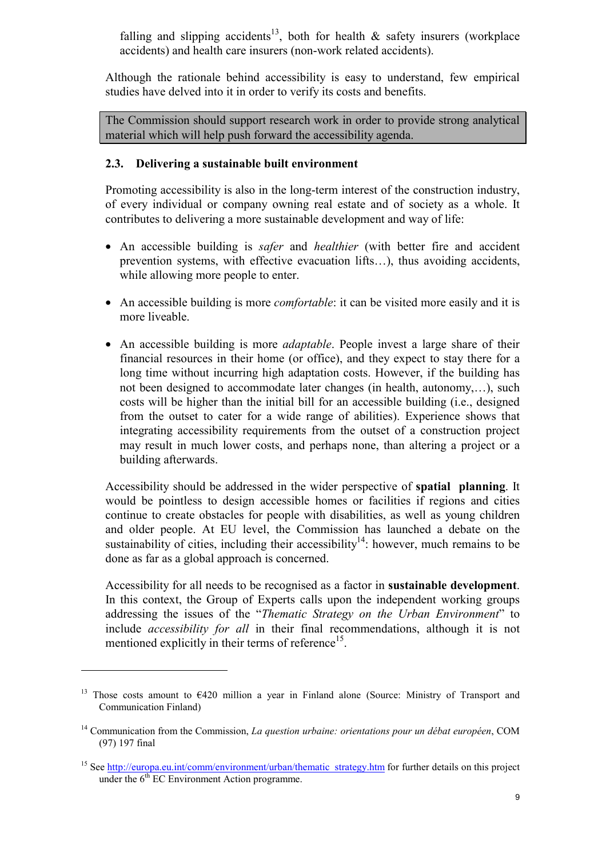falling and slipping accidents<sup>13</sup>, both for health  $\&$  safety insurers (workplace accidents) and health care insurers (non-work related accidents).

Although the rationale behind accessibility is easy to understand, few empirical studies have delved into it in order to verify its costs and benefits.

The Commission should support research work in order to provide strong analytical material which will help push forward the accessibility agenda.

# <span id="page-8-0"></span>**2.3. Delivering a sustainable built environment**

Promoting accessibility is also in the long-term interest of the construction industry, of every individual or company owning real estate and of society as a whole. It contributes to delivering a more sustainable development and way of life:

- An accessible building is *safer* and *healthier* (with better fire and accident prevention systems, with effective evacuation lifts…), thus avoiding accidents, while allowing more people to enter.
- An accessible building is more *comfortable*: it can be visited more easily and it is more liveable.
- An accessible building is more *adaptable*. People invest a large share of their financial resources in their home (or office), and they expect to stay there for a long time without incurring high adaptation costs. However, if the building has not been designed to accommodate later changes (in health, autonomy,…), such costs will be higher than the initial bill for an accessible building (i.e., designed from the outset to cater for a wide range of abilities). Experience shows that integrating accessibility requirements from the outset of a construction project may result in much lower costs, and perhaps none, than altering a project or a building afterwards.

Accessibility should be addressed in the wider perspective of **spatial planning**. It would be pointless to design accessible homes or facilities if regions and cities continue to create obstacles for people with disabilities, as well as young children and older people. At EU level, the Commission has launched a debate on the sustainability of cities, including their accessibility<sup>14</sup>: however, much remains to be done as far as a global approach is concerned.

Accessibility for all needs to be recognised as a factor in **sustainable development**. In this context, the Group of Experts calls upon the independent working groups addressing the issues of the "*Thematic Strategy on the Urban Environment*" to include *accessibility for all* in their final recommendations, although it is not mentioned explicitly in their terms of reference<sup>15</sup>.

<span id="page-8-1"></span><sup>&</sup>lt;sup>13</sup> Those costs amount to  $6420$  million a year in Finland alone (Source: Ministry of Transport and Communication Finland)

<span id="page-8-2"></span><sup>14</sup> Communication from the Commission, *La question urbaine: orientations pour un débat européen*, COM (97) 197 final

<span id="page-8-3"></span><sup>&</sup>lt;sup>15</sup> See http://europa.eu.int/comm/environment/urban/thematic\_strategy.htm for further details on this project under the  $6<sup>th</sup> EC Environment Action programme.$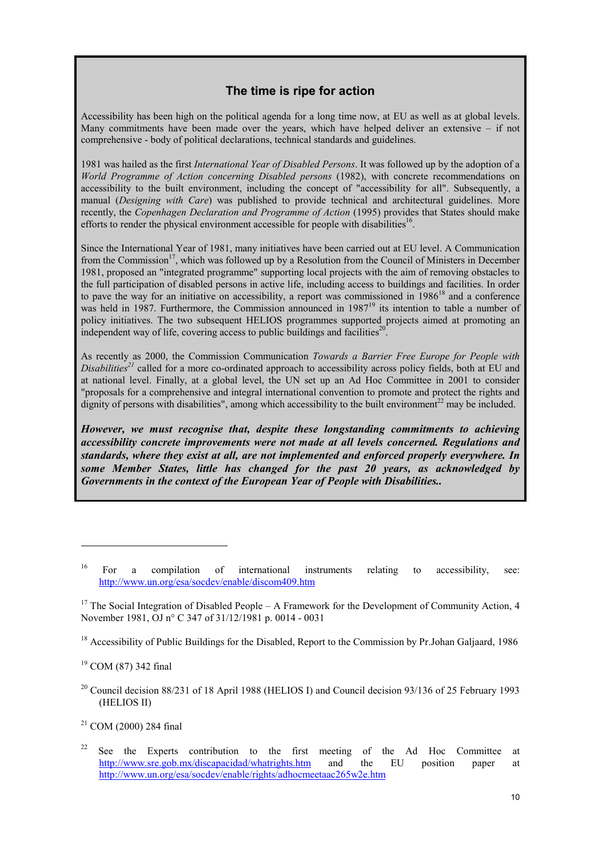# **The time is ripe for action**

Accessibility has been high on the political agenda for a long time now, at EU as well as at global levels. Many commitments have been made over the years, which have helped deliver an extensive – if not comprehensive - body of political declarations, technical standards and guidelines.

1981 was hailed as the first *International Year of Disabled Persons*. It was followed up by the adoption of a *World Programme of Action concerning Disabled persons* (1982), with concrete recommendations on accessibility to the built environment, including the concept of "accessibility for all". Subsequently, a manual (*Designing with Care*) was published to provide technical and architectural guidelines. More recently, the *Copenhagen Declaration and Programme of Action* (1995) provides that States should make efforts to render the physical environment accessible for people with disabilities<sup>16</sup>.

Since the International Year of 1981, many initiatives have been carried out at EU level. A Communication from the Commission<sup>17</sup>, which was followed up by a Resolution from the Council of Ministers in December 1981, proposed an "integrated programme" supporting local projects with the aim of removing obstacles to the full participation of disabled persons in active life, including access to buildings and facilities. In order to pave the way for an initiative on accessibility, a report was commissioned in  $1986^{18}$  and a conference was held in 1987. Furthermore, the Commission announced in 1987<sup>19</sup> its intention to table a number of policy initiatives. The two subsequent HELIOS programmes supported projects aimed at promoting an independent way of life, covering access to public buildings and facilities<sup>2</sup>

As recently as 2000, the Commission Communication *Towards a Barrier Free Europe for People with Disabilities[21](#page-9-5)* called for a more co-ordinated approach to accessibility across policy fields, both at EU and at national level. Finally, at a global level, the UN set up an Ad Hoc Committee in 2001 to consider "proposals for a comprehensive and integral international convention to promote and protect the rights and dignity of persons with disabilities", among which accessibility to the built environment<sup>22</sup> may be included.

*However, we must recognise that, despite these longstanding commitments to achieving accessibility concrete improvements were not made at all levels concerned. Regulations and standards, where they exist at all, are not implemented and enforced properly everywhere. In some Member States, little has changed for the past 20 years, as acknowledged by Governments in the context of the European Year of People with Disabilities..*

<span id="page-9-0"></span><sup>&</sup>lt;sup>16</sup> For a compilation of international instruments relating to accessibility, see: http://www.un.org/esa/socdev/enable/discom409.htm

<span id="page-9-1"></span><sup>&</sup>lt;sup>17</sup> The Social Integration of Disabled People – A Framework for the Development of Community Action, 4 November 1981, OJ n° C 347 of 31/12/1981 p. 0014 - 0031

<span id="page-9-2"></span><sup>&</sup>lt;sup>18</sup> Accessibility of Public Buildings for the Disabled, Report to the Commission by Pr.Johan Galjaard, 1986

<span id="page-9-3"></span><sup>19</sup> COM (87) 342 final

<span id="page-9-4"></span><sup>&</sup>lt;sup>20</sup> Council decision 88/231 of 18 April 1988 (HELIOS I) and Council decision 93/136 of 25 February 1993 (HELIOS II)

<span id="page-9-5"></span> $21$  COM (2000) 284 final

<span id="page-9-6"></span><sup>22</sup> See the Experts contribution to the first meeting of the Ad Hoc Committee at http://www.sre.gob.mx/discapacidad/whatrights.htm and the EU position paper at http://www.un.org/esa/socdev/enable/rights/adhocmeetaac265w2e.htm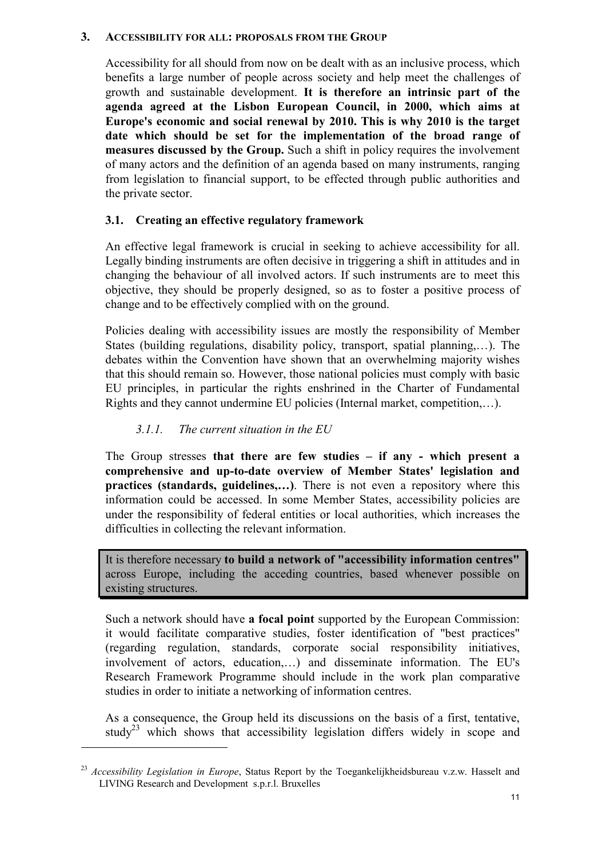#### <span id="page-10-0"></span>**3. ACCESSIBILITY FOR ALL: PROPOSALS FROM THE GROUP**

Accessibility for all should from now on be dealt with as an inclusive process, which benefits a large number of people across society and help meet the challenges of growth and sustainable development. **It is therefore an intrinsic part of the agenda agreed at the Lisbon European Council, in 2000, which aims at Europe's economic and social renewal by 2010. This is why 2010 is the target date which should be set for the implementation of the broad range of measures discussed by the Group.** Such a shift in policy requires the involvement of many actors and the definition of an agenda based on many instruments, ranging from legislation to financial support, to be effected through public authorities and the private sector.

#### <span id="page-10-1"></span>**3.1. Creating an effective regulatory framework**

An effective legal framework is crucial in seeking to achieve accessibility for all. Legally binding instruments are often decisive in triggering a shift in attitudes and in changing the behaviour of all involved actors. If such instruments are to meet this objective, they should be properly designed, so as to foster a positive process of change and to be effectively complied with on the ground.

Policies dealing with accessibility issues are mostly the responsibility of Member States (building regulations, disability policy, transport, spatial planning,…). The debates within the Convention have shown that an overwhelming majority wishes that this should remain so. However, those national policies must comply with basic EU principles, in particular the rights enshrined in the Charter of Fundamental Rights and they cannot undermine EU policies (Internal market, competition,…).

#### <span id="page-10-2"></span>*3.1.1. The current situation in the EU*

 $\overline{a}$ 

The Group stresses **that there are few studies – if any - which present a comprehensive and up-to-date overview of Member States' legislation and practices (standards, guidelines....)**. There is not even a repository where this information could be accessed. In some Member States, accessibility policies are under the responsibility of federal entities or local authorities, which increases the difficulties in collecting the relevant information.

It is therefore necessary **to build a network of "accessibility information centres"** across Europe, including the acceding countries, based whenever possible on existing structures.

Such a network should have **a focal point** supported by the European Commission: it would facilitate comparative studies, foster identification of "best practices" (regarding regulation, standards, corporate social responsibility initiatives, involvement of actors, education,…) and disseminate information. The EU's Research Framework Programme should include in the work plan comparative studies in order to initiate a networking of information centres.

As a consequence, the Group held its discussions on the basis of a first, tentative, study<sup>23</sup> which shows that accessibility legislation differs widely in scope and

<sup>23</sup> *Accessibility Legislation in Europe*, Status Report by the Toegankelijkheidsbureau v.z.w. Hasselt and LIVING Research and Development s.p.r.l. Bruxelles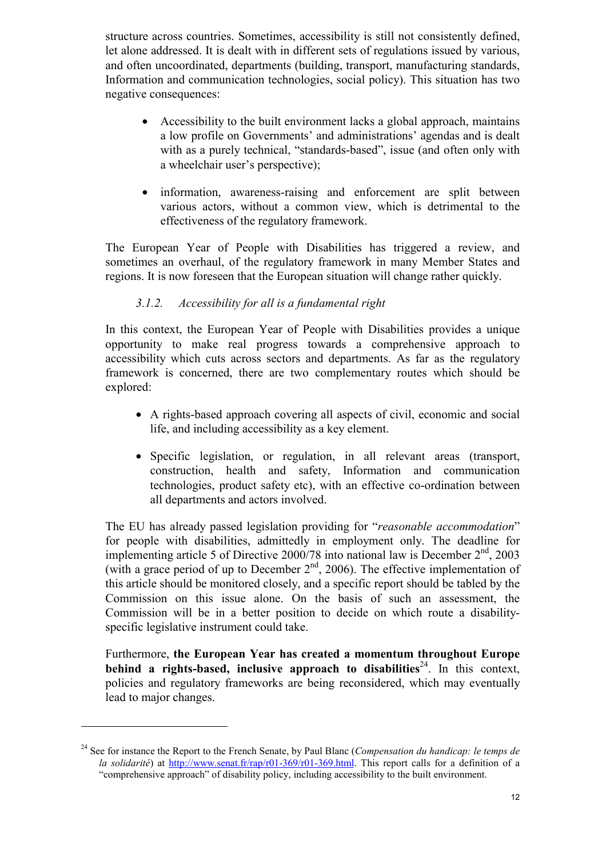structure across countries. Sometimes, accessibility is still not consistently defined, let alone addressed. It is dealt with in different sets of regulations issued by various, and often uncoordinated, departments (building, transport, manufacturing standards, Information and communication technologies, social policy). This situation has two negative consequences:

- Accessibility to the built environment lacks a global approach, maintains a low profile on Governments' and administrations' agendas and is dealt with as a purely technical, "standards-based", issue (and often only with a wheelchair user's perspective);
- information, awareness-raising and enforcement are split between various actors, without a common view, which is detrimental to the effectiveness of the regulatory framework.

The European Year of People with Disabilities has triggered a review, and sometimes an overhaul, of the regulatory framework in many Member States and regions. It is now foreseen that the European situation will change rather quickly.

# <span id="page-11-0"></span>*3.1.2. Accessibility for all is a fundamental right*

In this context, the European Year of People with Disabilities provides a unique opportunity to make real progress towards a comprehensive approach to accessibility which cuts across sectors and departments. As far as the regulatory framework is concerned, there are two complementary routes which should be explored:

- A rights-based approach covering all aspects of civil, economic and social life, and including accessibility as a key element.
- Specific legislation, or regulation, in all relevant areas (transport, construction, health and safety, Information and communication technologies, product safety etc), with an effective co-ordination between all departments and actors involved.

The EU has already passed legislation providing for "*reasonable accommodation*" for people with disabilities, admittedly in employment only. The deadline for implementing article 5 of Directive  $2000/78$  into national law is December  $2<sup>nd</sup>$ , 2003 (with a grace period of up to December  $2<sup>nd</sup>$ , 2006). The effective implementation of this article should be monitored closely, and a specific report should be tabled by the Commission on this issue alone. On the basis of such an assessment, the Commission will be in a better position to decide on which route a disabilityspecific legislative instrument could take.

Furthermore, **the European Year has created a momentum throughout Europe behind a rights-based, inclusive approach to disabilities**<sup>24</sup>. In this context, policies and regulatory frameworks are being reconsidered, which may eventually lead to major changes.

<span id="page-11-1"></span><sup>24</sup> See for instance the Report to the French Senate, by Paul Blanc (*Compensation du handicap: le temps de la solidarité*) at http://www.senat.fr/rap/r01-369/r01-369.html. This report calls for a definition of a "comprehensive approach" of disability policy, including accessibility to the built environment.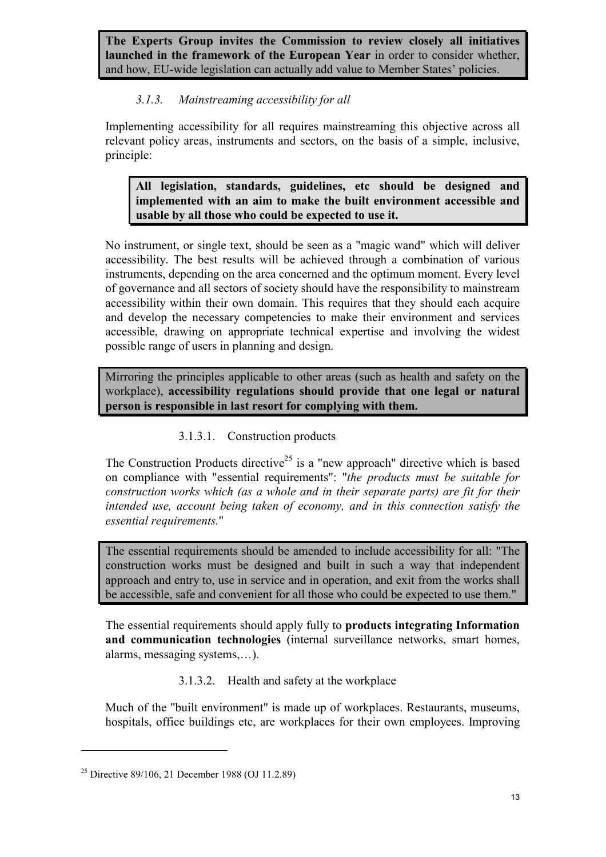**The Experts Group invites the Commission to review closely all initiatives launched in the framework of the European Year** in order to consider whether, and how, EU-wide legislation can actually add value to Member States' policies.

# <span id="page-12-0"></span>*3.1.3. Mainstreaming accessibility for all*

Implementing accessibility for all requires mainstreaming this objective across all relevant policy areas, instruments and sectors, on the basis of a simple, inclusive, principle:

**All legislation, standards, guidelines, etc should be designed and implemented with an aim to make the built environment accessible and usable by all those who could be expected to use it.**

No instrument, or single text, should be seen as a "magic wand" which will deliver accessibility. The best results will be achieved through a combination of various instruments, depending on the area concerned and the optimum moment. Every level of governance and all sectors of society should have the responsibility to mainstream accessibility within their own domain. This requires that they should each acquire and develop the necessary competencies to make their environment and services accessible, drawing on appropriate technical expertise and involving the widest possible range of users in planning and design.

Mirroring the principles applicable to other areas (such as health and safety on the workplace), **accessibility regulations should provide that one legal or natural person is responsible in last resort for complying with them.** 

# <span id="page-12-1"></span>3.1.3.1. Construction products

The Construction Products directive<sup>25</sup> is a "new approach" directive which is based on compliance with "essential requirements": "*the products must be suitable for construction works which (as a whole and in their separate parts) are fit for their intended use, account being taken of economy, and in this connection satisfy the essential requirements.*"

The essential requirements should be amended to include accessibility for all: "The construction works must be designed and built in such a way that independent approach and entry to, use in service and in operation, and exit from the works shall be accessible, safe and convenient for all those who could be expected to use them."

The essential requirements should apply fully to **products integrating Information and communication technologies** (internal surveillance networks, smart homes, alarms, messaging systems,…).

<span id="page-12-2"></span>3.1.3.2. Health and safety at the workplace

Much of the "built environment" is made up of workplaces. Restaurants, museums, hospitals, office buildings etc, are workplaces for their own employees. Improving

<span id="page-12-3"></span><sup>&</sup>lt;sup>25</sup> Directive 89/106, 21 December 1988 (OJ 11.2.89)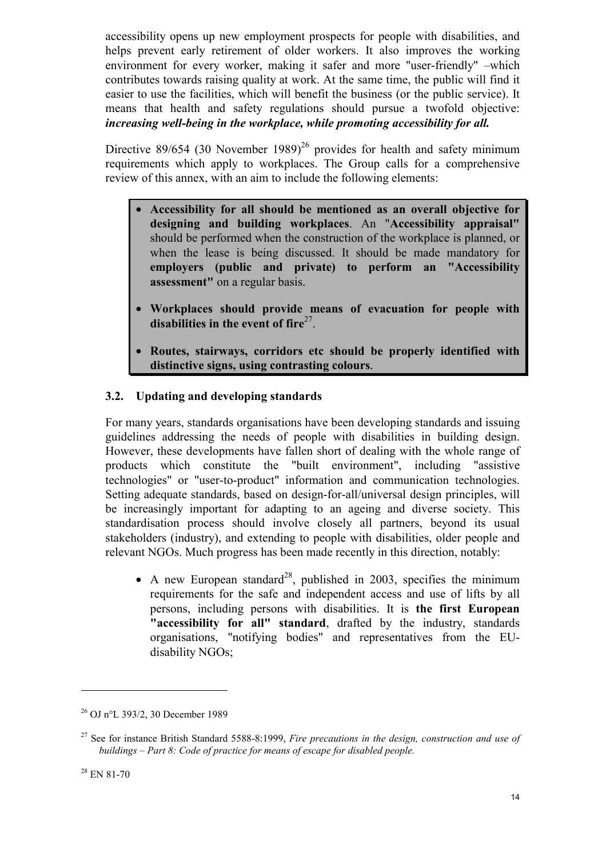accessibility opens up new employment prospects for people with disabilities, and helps prevent early retirement of older workers. It also improves the working environment for every worker, making it safer and more "user-friendly" –which contributes towards raising quality at work. At the same time, the public will find it easier to use the facilities, which will benefit the business (or the public service). It means that health and safety regulations should pursue a twofold objective: *increasing well-being in the workplace, while promoting accessibility for all.* 

Directive 89/654 (30 November 1989)<sup>26</sup> provides for health and safety minimum requirements which apply to workplaces. The Group calls for a comprehensive review of this annex, with an aim to include the following elements:

- **Accessibility for all should be mentioned as an overall objective for designing and building workplaces**. An "**Accessibility appraisal"** should be performed when the construction of the workplace is planned, or when the lease is being discussed. It should be made mandatory for **employers (public and private) to perform an "Accessibility assessment"** on a regular basis.
- **Workplaces should provide means of evacuation for people with** disabilities in the event of fire<sup>27</sup>.
- **Routes, stairways, corridors etc should be properly identified with distinctive signs, using contrasting colours**.

# <span id="page-13-0"></span>**3.2. Updating and developing standards**

For many years, standards organisations have been developing standards and issuing guidelines addressing the needs of people with disabilities in building design. However, these developments have fallen short of dealing with the whole range of products which constitute the "built environment", including "assistive technologies" or "user-to-product" information and communication technologies. Setting adequate standards, based on design-for-all/universal design principles, will be increasingly important for adapting to an ageing and diverse society. This standardisation process should involve closely all partners, beyond its usual stakeholders (industry), and extending to people with disabilities, older people and relevant NGOs. Much progress has been made recently in this direction, notably:

• A new European standard<sup>28</sup>, published in 2003, specifies the minimum requirements for the safe and independent access and use of lifts by all persons, including persons with disabilities. It is **the first European "accessibility for all" standard**, drafted by the industry, standards organisations, "notifying bodies" and representatives from the EUdisability NGOs;

<span id="page-13-1"></span><sup>26</sup> OJ n°L 393/2, 30 December 1989

<span id="page-13-3"></span><span id="page-13-2"></span><sup>27</sup> See for instance British Standard 5588-8:1999, *Fire precautions in the design, construction and use of buildings – Part 8: Code of practice for means of escape for disabled people.*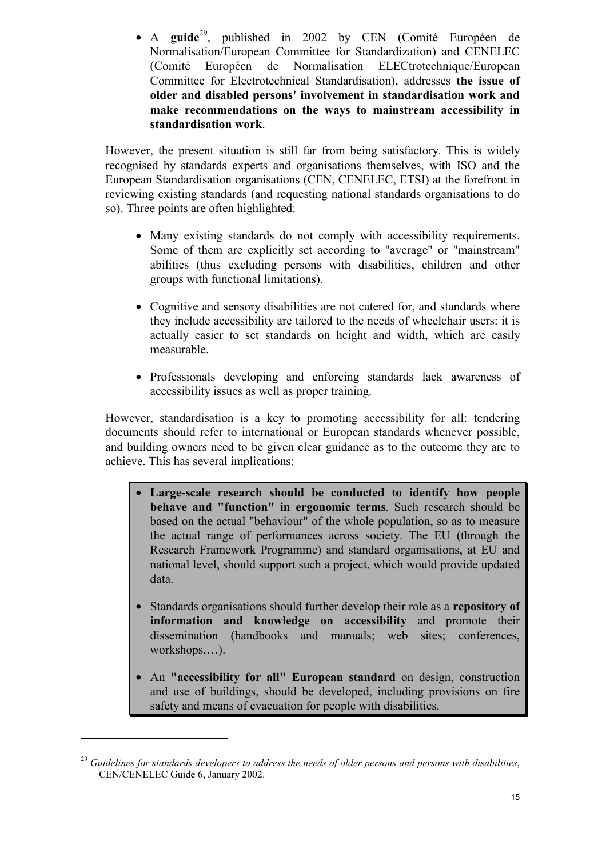• A **guide**[29,](#page-14-0) published in 2002 by CEN (Comité Européen de Normalisation/European Committee for Standardization) and CENELEC (Comité Européen de Normalisation ELECtrotechnique/European Committee for Electrotechnical Standardisation), addresses **the issue of older and disabled persons' involvement in standardisation work and make recommendations on the ways to mainstream accessibility in standardisation work**.

However, the present situation is still far from being satisfactory. This is widely recognised by standards experts and organisations themselves, with ISO and the European Standardisation organisations (CEN, CENELEC, ETSI) at the forefront in reviewing existing standards (and requesting national standards organisations to do so). Three points are often highlighted:

- Many existing standards do not comply with accessibility requirements. Some of them are explicitly set according to "average" or "mainstream" abilities (thus excluding persons with disabilities, children and other groups with functional limitations).
- Cognitive and sensory disabilities are not catered for, and standards where they include accessibility are tailored to the needs of wheelchair users: it is actually easier to set standards on height and width, which are easily measurable.
- Professionals developing and enforcing standards lack awareness of accessibility issues as well as proper training.

However, standardisation is a key to promoting accessibility for all: tendering documents should refer to international or European standards whenever possible, and building owners need to be given clear guidance as to the outcome they are to achieve. This has several implications:

- **Large-scale research should be conducted to identify how people behave and "function" in ergonomic terms**. Such research should be based on the actual "behaviour" of the whole population, so as to measure the actual range of performances across society. The EU (through the Research Framework Programme) and standard organisations, at EU and national level, should support such a project, which would provide updated data.
- Standards organisations should further develop their role as a **repository of information and knowledge on accessibility** and promote their dissemination (handbooks and manuals; web sites; conferences, workshops,…).
- An **"accessibility for all" European standard** on design, construction and use of buildings, should be developed, including provisions on fire safety and means of evacuation for people with disabilities.

<span id="page-14-0"></span><sup>29</sup> *Guidelines for standards developers to address the needs of older persons and persons with disabilities*, CEN/CENELEC Guide 6, January 2002.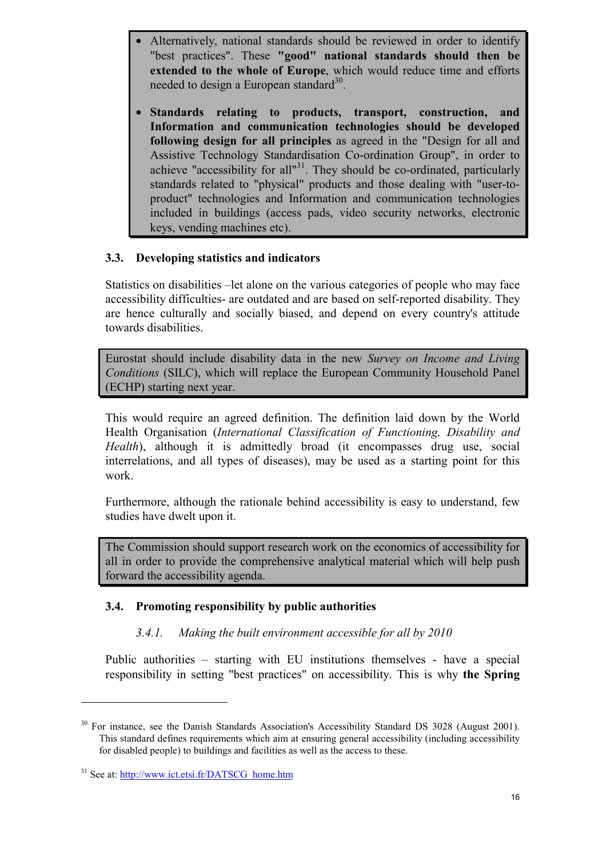- Alternatively, national standards should be reviewed in order to identify "best practices". These **"good" national standards should then be extended to the whole of Europe**, which would reduce time and efforts needed to design a European standard<sup>30</sup>.
- **Standards relating to products, transport, construction, and Information and communication technologies should be developed following design for all principles** as agreed in the "Design for all and Assistive Technology Standardisation Co-ordination Group", in order to achieve "accessibility for all"<sup>31</sup>. They should be co-ordinated, particularly standards related to "physical" products and those dealing with "user-toproduct" technologies and Information and communication technologies included in buildings (access pads, video security networks, electronic keys, vending machines etc).

# <span id="page-15-0"></span>**3.3. Developing statistics and indicators**

Statistics on disabilities –let alone on the various categories of people who may face accessibility difficulties- are outdated and are based on self-reported disability. They are hence culturally and socially biased, and depend on every country's attitude towards disabilities.

Eurostat should include disability data in the new *Survey on Income and Living Conditions* (SILC), which will replace the European Community Household Panel (ECHP) starting next year.

This would require an agreed definition. The definition laid down by the World Health Organisation (*International Classification of Functioning, Disability and Health*), although it is admittedly broad (it encompasses drug use, social interrelations, and all types of diseases), may be used as a starting point for this work.

Furthermore, although the rationale behind accessibility is easy to understand, few studies have dwelt upon it.

The Commission should support research work on the economics of accessibility for all in order to provide the comprehensive analytical material which will help push forward the accessibility agenda.

#### **3.4. Promoting responsibility by public authorities**

#### <span id="page-15-2"></span><span id="page-15-1"></span>*3.4.1. Making the built environment accessible for all by 2010*

Public authorities – starting with EU institutions themselves - have a special responsibility in setting "best practices" on accessibility. This is why **the Spring**

<span id="page-15-3"></span><sup>&</sup>lt;sup>30</sup> For instance, see the Danish Standards Association's Accessibility Standard DS 3028 (August 2001). This standard defines requirements which aim at ensuring general accessibility (including accessibility for disabled people) to buildings and facilities as well as the access to these.

<span id="page-15-4"></span><sup>&</sup>lt;sup>31</sup> See at: http://www.ict.etsi.fr/DATSCG\_home.htm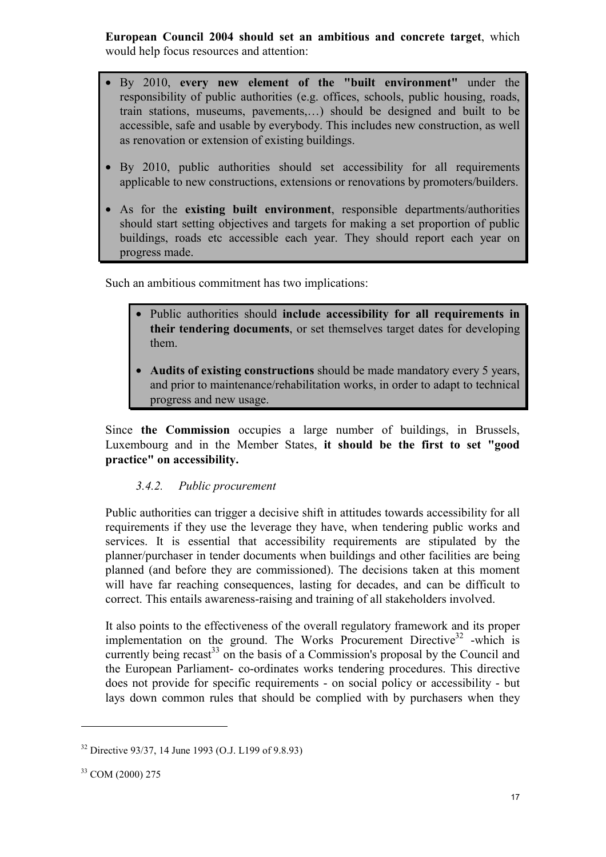**European Council 2004 should set an ambitious and concrete target**, which would help focus resources and attention:

- By 2010, **every new element of the "built environment"** under the responsibility of public authorities (e.g. offices, schools, public housing, roads, train stations, museums, pavements,…) should be designed and built to be accessible, safe and usable by everybody. This includes new construction, as well as renovation or extension of existing buildings.
- By 2010, public authorities should set accessibility for all requirements applicable to new constructions, extensions or renovations by promoters/builders.
- As for the **existing built environment**, responsible departments/authorities should start setting objectives and targets for making a set proportion of public buildings, roads etc accessible each year. They should report each year on progress made.

Such an ambitious commitment has two implications:

- Public authorities should **include accessibility for all requirements in their tendering documents**, or set themselves target dates for developing them.
- **Audits of existing constructions** should be made mandatory every 5 years, and prior to maintenance/rehabilitation works, in order to adapt to technical progress and new usage.

Since **the Commission** occupies a large number of buildings, in Brussels, Luxembourg and in the Member States, **it should be the first to set "good practice" on accessibility.**

#### <span id="page-16-0"></span>*3.4.2. Public procurement*

Public authorities can trigger a decisive shift in attitudes towards accessibility for all requirements if they use the leverage they have, when tendering public works and services. It is essential that accessibility requirements are stipulated by the planner/purchaser in tender documents when buildings and other facilities are being planned (and before they are commissioned). The decisions taken at this moment will have far reaching consequences, lasting for decades, and can be difficult to correct. This entails awareness-raising and training of all stakeholders involved.

It also points to the effectiveness of the overall regulatory framework and its proper implementation on the ground. The Works Procurement Directive<sup>32</sup> -which is currently being recast<sup>33</sup> on the basis of a Commission's proposal by the Council and the European Parliament- co-ordinates works tendering procedures. This directive does not provide for specific requirements - on social policy or accessibility - but lays down common rules that should be complied with by purchasers when they

<span id="page-16-1"></span><sup>32</sup> Directive 93/37, 14 June 1993 (O.J. L199 of 9.8.93)

<span id="page-16-2"></span><sup>33</sup> COM (2000) 275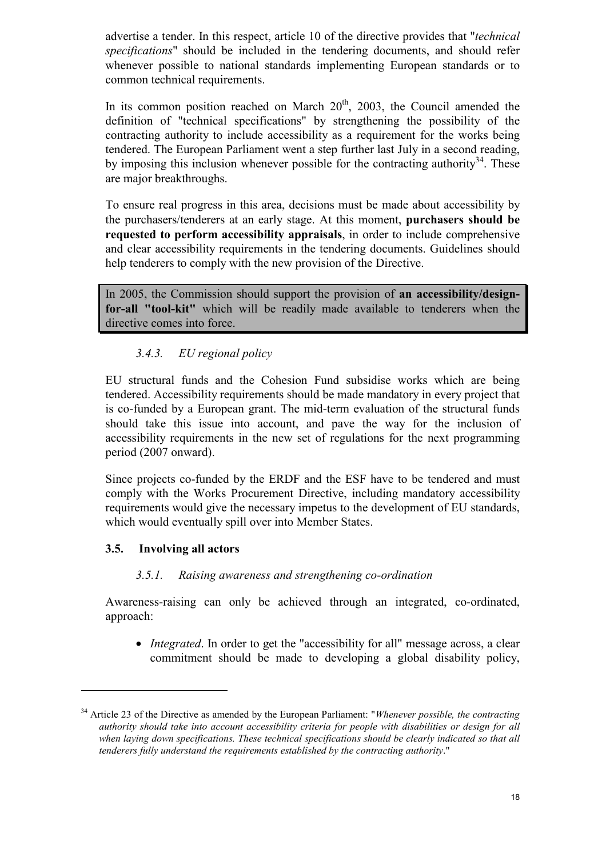advertise a tender. In this respect, article 10 of the directive provides that "*technical specifications*" should be included in the tendering documents, and should refer whenever possible to national standards implementing European standards or to common technical requirements.

In its common position reached on March  $20<sup>th</sup>$ ,  $2003$ , the Council amended the definition of "technical specifications" by strengthening the possibility of the contracting authority to include accessibility as a requirement for the works being tendered. The European Parliament went a step further last July in a second reading, by imposing this inclusion whenever possible for the contracting authority<sup>34</sup>. These are major breakthroughs.

To ensure real progress in this area, decisions must be made about accessibility by the purchasers/tenderers at an early stage. At this moment, **purchasers should be requested to perform accessibility appraisals**, in order to include comprehensive and clear accessibility requirements in the tendering documents. Guidelines should help tenderers to comply with the new provision of the Directive.

In 2005, the Commission should support the provision of **an accessibility/designfor-all "tool-kit"** which will be readily made available to tenderers when the directive comes into force.

# <span id="page-17-0"></span>*3.4.3. EU regional policy*

EU structural funds and the Cohesion Fund subsidise works which are being tendered. Accessibility requirements should be made mandatory in every project that is co-funded by a European grant. The mid-term evaluation of the structural funds should take this issue into account, and pave the way for the inclusion of accessibility requirements in the new set of regulations for the next programming period (2007 onward).

Since projects co-funded by the ERDF and the ESF have to be tendered and must comply with the Works Procurement Directive, including mandatory accessibility requirements would give the necessary impetus to the development of EU standards, which would eventually spill over into Member States.

# **3.5. Involving all actors**

 $\overline{a}$ 

#### <span id="page-17-2"></span><span id="page-17-1"></span>*3.5.1. Raising awareness and strengthening co-ordination*

Awareness-raising can only be achieved through an integrated, co-ordinated, approach:

• *Integrated*. In order to get the "accessibility for all" message across, a clear commitment should be made to developing a global disability policy,

<span id="page-17-3"></span><sup>34</sup> Article 23 of the Directive as amended by the European Parliament: "*Whenever possible, the contracting authority should take into account accessibility criteria for people with disabilities or design for all when laying down specifications. These technical specifications should be clearly indicated so that all tenderers fully understand the requirements established by the contracting authority*."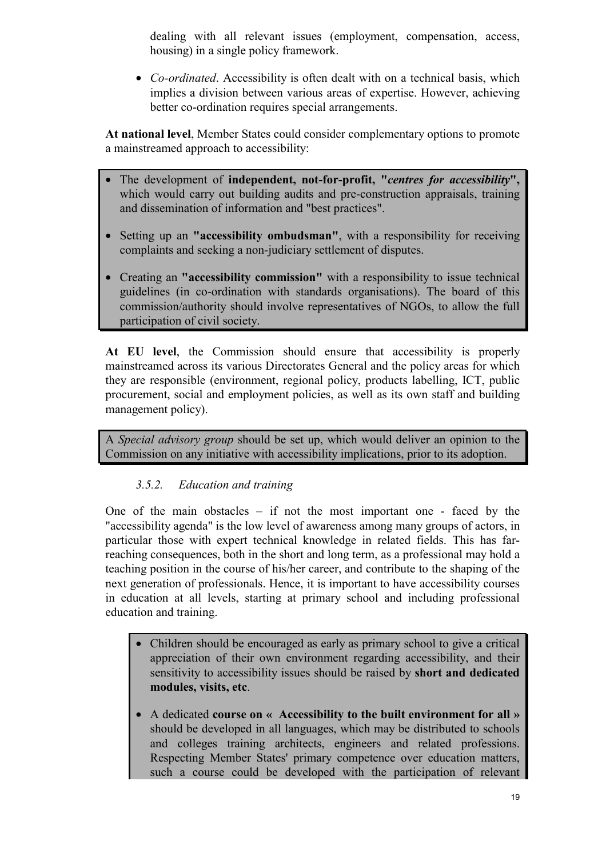dealing with all relevant issues (employment, compensation, access, housing) in a single policy framework.

• *Co-ordinated*. Accessibility is often dealt with on a technical basis, which implies a division between various areas of expertise. However, achieving better co-ordination requires special arrangements.

**At national level**, Member States could consider complementary options to promote a mainstreamed approach to accessibility:

- The development of **independent, not-for-profit, "***centres for accessibility***",** which would carry out building audits and pre-construction appraisals, training and dissemination of information and "best practices".
- Setting up an **"accessibility ombudsman"**, with a responsibility for receiving complaints and seeking a non-judiciary settlement of disputes.
- Creating an **"accessibility commission"** with a responsibility to issue technical guidelines (in co-ordination with standards organisations). The board of this commission/authority should involve representatives of NGOs, to allow the full participation of civil society.

**At EU level**, the Commission should ensure that accessibility is properly mainstreamed across its various Directorates General and the policy areas for which they are responsible (environment, regional policy, products labelling, ICT, public procurement, social and employment policies, as well as its own staff and building management policy).

A *Special advisory group* should be set up, which would deliver an opinion to the Commission on any initiative with accessibility implications, prior to its adoption.

# <span id="page-18-0"></span>*3.5.2. Education and training*

One of the main obstacles  $-$  if not the most important one  $-$  faced by the "accessibility agenda" is the low level of awareness among many groups of actors, in particular those with expert technical knowledge in related fields. This has farreaching consequences, both in the short and long term, as a professional may hold a teaching position in the course of his/her career, and contribute to the shaping of the next generation of professionals. Hence, it is important to have accessibility courses in education at all levels, starting at primary school and including professional education and training.

- Children should be encouraged as early as primary school to give a critical appreciation of their own environment regarding accessibility, and their sensitivity to accessibility issues should be raised by **short and dedicated modules, visits, etc**.
- A dedicated **course on « Accessibility to the built environment for all »** should be developed in all languages, which may be distributed to schools and colleges training architects, engineers and related professions. Respecting Member States' primary competence over education matters, such a course could be developed with the participation of relevant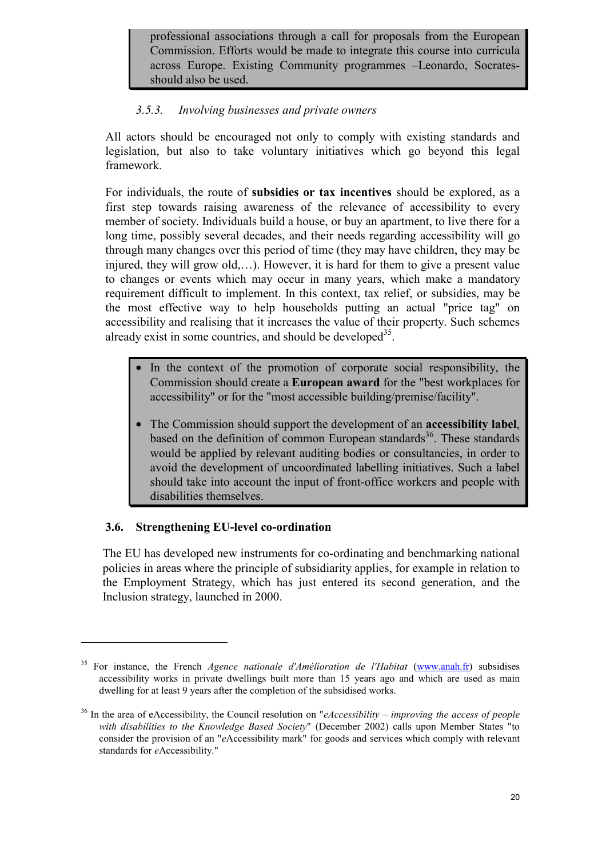professional associations through a call for proposals from the European Commission. Efforts would be made to integrate this course into curricula across Europe. Existing Community programmes –Leonardo, Socratesshould also be used.

# <span id="page-19-0"></span>*3.5.3. Involving businesses and private owners*

All actors should be encouraged not only to comply with existing standards and legislation, but also to take voluntary initiatives which go beyond this legal framework.

For individuals, the route of **subsidies or tax incentives** should be explored, as a first step towards raising awareness of the relevance of accessibility to every member of society. Individuals build a house, or buy an apartment, to live there for a long time, possibly several decades, and their needs regarding accessibility will go through many changes over this period of time (they may have children, they may be injured, they will grow old,…). However, it is hard for them to give a present value to changes or events which may occur in many years, which make a mandatory requirement difficult to implement. In this context, tax relief, or subsidies, may be the most effective way to help households putting an actual "price tag" on accessibility and realising that it increases the value of their property. Such schemes already exist in some countries, and should be developed<sup>35</sup>.

- In the context of the promotion of corporate social responsibility, the Commission should create a **European award** for the "best workplaces for accessibility" or for the "most accessible building/premise/facility".
- The Commission should support the development of an **accessibility label**, based on the definition of common European standards<sup>36</sup>. These standards would be applied by relevant auditing bodies or consultancies, in order to avoid the development of uncoordinated labelling initiatives. Such a label should take into account the input of front-office workers and people with disabilities themselves.

# <span id="page-19-1"></span>**3.6. Strengthening EU-level co-ordination**

 $\overline{a}$ 

The EU has developed new instruments for co-ordinating and benchmarking national policies in areas where the principle of subsidiarity applies, for example in relation to the Employment Strategy, which has just entered its second generation, and the Inclusion strategy, launched in 2000.

<span id="page-19-2"></span><sup>35</sup> For instance, the French *Agence nationale d'Amélioration de l'Habitat* (www.anah.fr) subsidises accessibility works in private dwellings built more than 15 years ago and which are used as main dwelling for at least 9 years after the completion of the subsidised works.

<span id="page-19-3"></span><sup>36</sup> In the area of eAccessibility, the Council resolution on "*eAccessibility – improving the access of people with disabilities to the Knowledge Based Society*" (December 2002) calls upon Member States "to consider the provision of an "*e*Accessibility mark" for goods and services which comply with relevant standards for *e*Accessibility."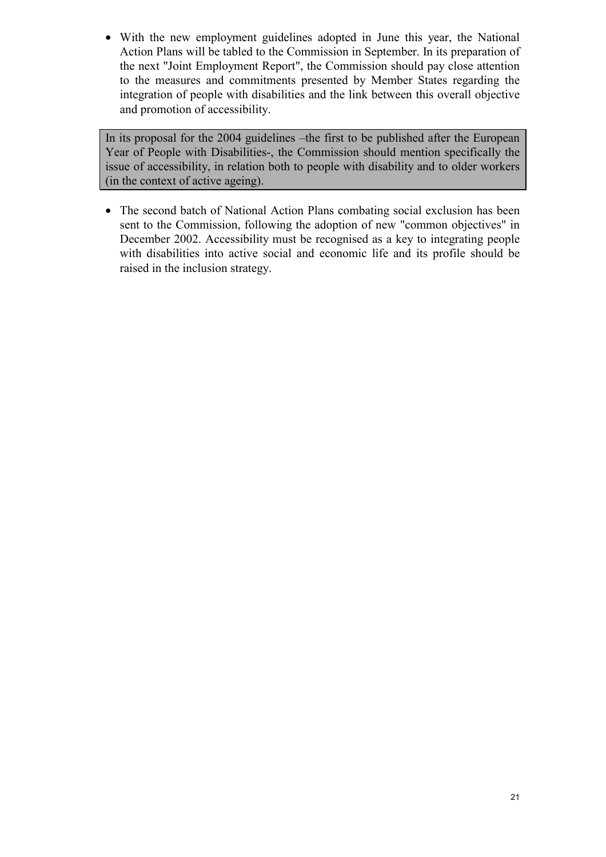• With the new employment guidelines adopted in June this year, the National Action Plans will be tabled to the Commission in September. In its preparation of the next "Joint Employment Report", the Commission should pay close attention to the measures and commitments presented by Member States regarding the integration of people with disabilities and the link between this overall objective and promotion of accessibility.

In its proposal for the 2004 guidelines –the first to be published after the European Year of People with Disabilities-, the Commission should mention specifically the issue of accessibility, in relation both to people with disability and to older workers (in the context of active ageing).

• The second batch of National Action Plans combating social exclusion has been sent to the Commission, following the adoption of new "common objectives" in December 2002. Accessibility must be recognised as a key to integrating people with disabilities into active social and economic life and its profile should be raised in the inclusion strategy.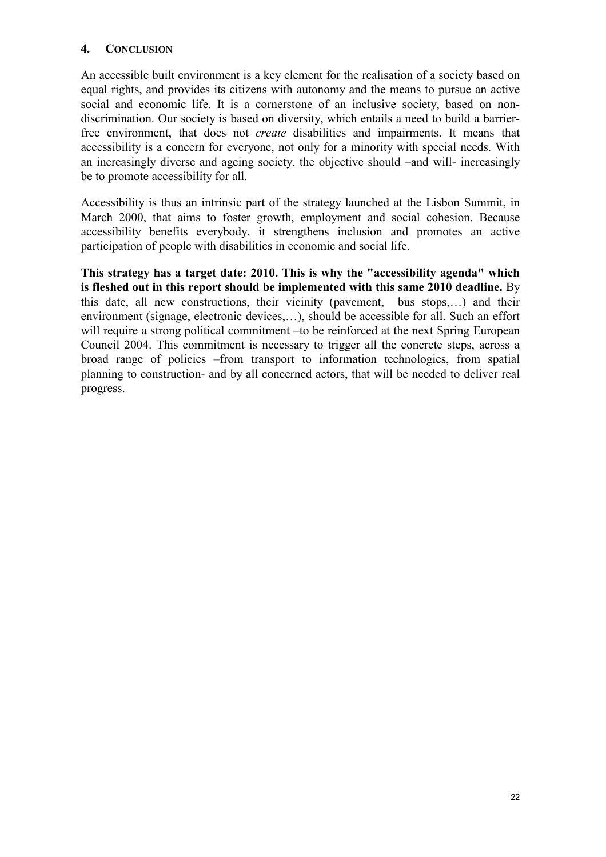#### <span id="page-21-0"></span>**4. CONCLUSION**

An accessible built environment is a key element for the realisation of a society based on equal rights, and provides its citizens with autonomy and the means to pursue an active social and economic life. It is a cornerstone of an inclusive society, based on nondiscrimination. Our society is based on diversity, which entails a need to build a barrierfree environment, that does not *create* disabilities and impairments. It means that accessibility is a concern for everyone, not only for a minority with special needs. With an increasingly diverse and ageing society, the objective should –and will- increasingly be to promote accessibility for all.

Accessibility is thus an intrinsic part of the strategy launched at the Lisbon Summit, in March 2000, that aims to foster growth, employment and social cohesion. Because accessibility benefits everybody, it strengthens inclusion and promotes an active participation of people with disabilities in economic and social life.

**This strategy has a target date: 2010. This is why the "accessibility agenda" which is fleshed out in this report should be implemented with this same 2010 deadline.** By this date, all new constructions, their vicinity (pavement, bus stops,…) and their environment (signage, electronic devices,…), should be accessible for all. Such an effort will require a strong political commitment –to be reinforced at the next Spring European Council 2004. This commitment is necessary to trigger all the concrete steps, across a broad range of policies –from transport to information technologies, from spatial planning to construction- and by all concerned actors, that will be needed to deliver real progress.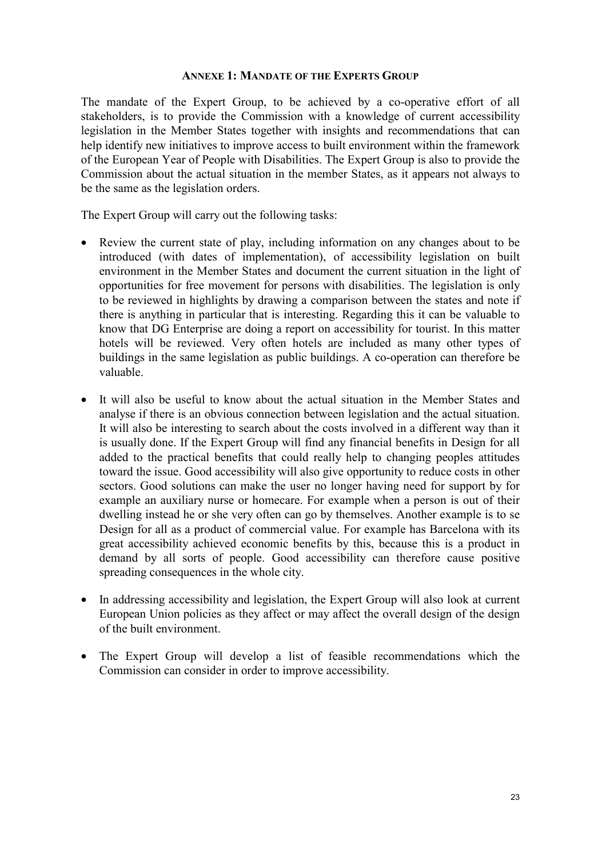#### <span id="page-22-0"></span>**ANNEXE 1: MANDATE OF THE EXPERTS GROUP**

The mandate of the Expert Group, to be achieved by a co-operative effort of all stakeholders, is to provide the Commission with a knowledge of current accessibility legislation in the Member States together with insights and recommendations that can help identify new initiatives to improve access to built environment within the framework of the European Year of People with Disabilities. The Expert Group is also to provide the Commission about the actual situation in the member States, as it appears not always to be the same as the legislation orders.

The Expert Group will carry out the following tasks:

- Review the current state of play, including information on any changes about to be introduced (with dates of implementation), of accessibility legislation on built environment in the Member States and document the current situation in the light of opportunities for free movement for persons with disabilities. The legislation is only to be reviewed in highlights by drawing a comparison between the states and note if there is anything in particular that is interesting. Regarding this it can be valuable to know that DG Enterprise are doing a report on accessibility for tourist. In this matter hotels will be reviewed. Very often hotels are included as many other types of buildings in the same legislation as public buildings. A co-operation can therefore be valuable.
- It will also be useful to know about the actual situation in the Member States and analyse if there is an obvious connection between legislation and the actual situation. It will also be interesting to search about the costs involved in a different way than it is usually done. If the Expert Group will find any financial benefits in Design for all added to the practical benefits that could really help to changing peoples attitudes toward the issue. Good accessibility will also give opportunity to reduce costs in other sectors. Good solutions can make the user no longer having need for support by for example an auxiliary nurse or homecare. For example when a person is out of their dwelling instead he or she very often can go by themselves. Another example is to se Design for all as a product of commercial value. For example has Barcelona with its great accessibility achieved economic benefits by this, because this is a product in demand by all sorts of people. Good accessibility can therefore cause positive spreading consequences in the whole city.
- In addressing accessibility and legislation, the Expert Group will also look at current European Union policies as they affect or may affect the overall design of the design of the built environment.
- The Expert Group will develop a list of feasible recommendations which the Commission can consider in order to improve accessibility.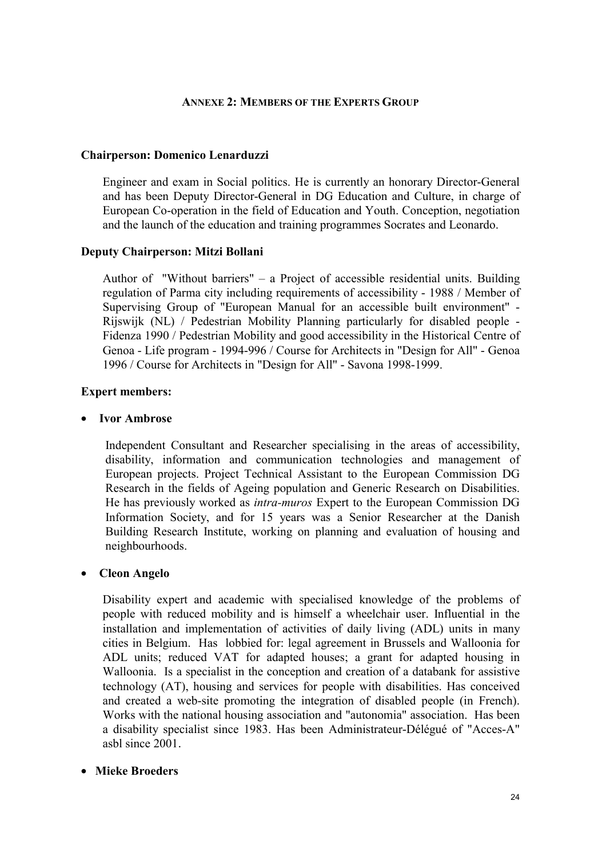#### <span id="page-23-0"></span>**ANNEXE 2: MEMBERS OF THE EXPERTS GROUP**

#### **Chairperson: Domenico Lenarduzzi**

Engineer and exam in Social politics. He is currently an honorary Director-General and has been Deputy Director-General in DG Education and Culture, in charge of European Co-operation in the field of Education and Youth. Conception, negotiation and the launch of the education and training programmes Socrates and Leonardo.

#### **Deputy Chairperson: Mitzi Bollani**

Author of "Without barriers" – a Project of accessible residential units. Building regulation of Parma city including requirements of accessibility - 1988 / Member of Supervising Group of "European Manual for an accessible built environment" - Rijswijk (NL) / Pedestrian Mobility Planning particularly for disabled people - Fidenza 1990 / Pedestrian Mobility and good accessibility in the Historical Centre of Genoa - Life program - 1994-996 / Course for Architects in "Design for All" - Genoa 1996 / Course for Architects in "Design for All" - Savona 1998-1999.

#### **Expert members:**

#### • **Ivor Ambrose**

Independent Consultant and Researcher specialising in the areas of accessibility, disability, information and communication technologies and management of European projects. Project Technical Assistant to the European Commission DG Research in the fields of Ageing population and Generic Research on Disabilities. He has previously worked as *intra-muros* Expert to the European Commission DG Information Society, and for 15 years was a Senior Researcher at the Danish Building Research Institute, working on planning and evaluation of housing and neighbourhoods.

#### • **Cleon Angelo**

Disability expert and academic with specialised knowledge of the problems of people with reduced mobility and is himself a wheelchair user. Influential in the installation and implementation of activities of daily living (ADL) units in many cities in Belgium. Has lobbied for: legal agreement in Brussels and Walloonia for ADL units; reduced VAT for adapted houses; a grant for adapted housing in Walloonia. Is a specialist in the conception and creation of a databank for assistive technology (AT), housing and services for people with disabilities. Has conceived and created a web-site promoting the integration of disabled people (in French). Works with the national housing association and "autonomia" association. Has been a disability specialist since 1983. Has been Administrateur-Délégué of "Acces-A" asbl since 2001.

#### • **Mieke Broeders**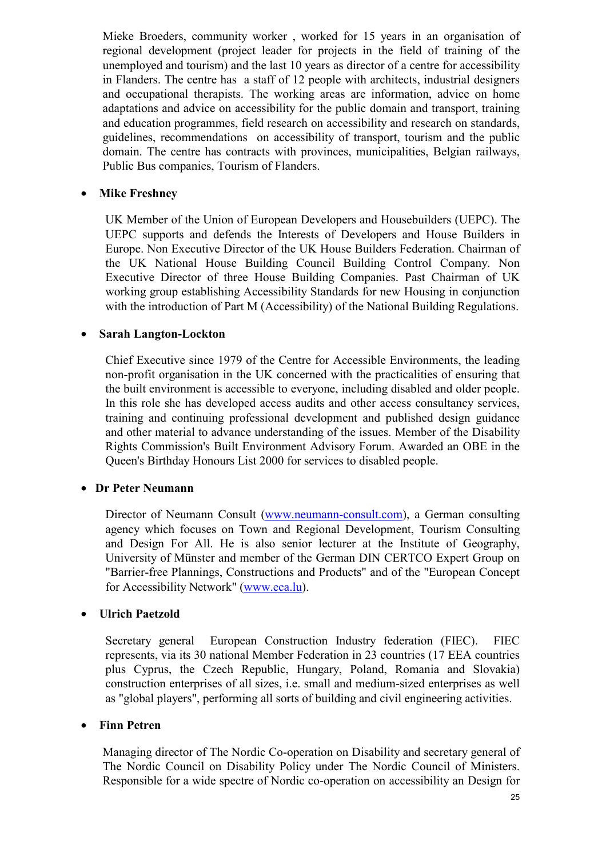Mieke Broeders, community worker , worked for 15 years in an organisation of regional development (project leader for projects in the field of training of the unemployed and tourism) and the last 10 years as director of a centre for accessibility in Flanders. The centre has a staff of 12 people with architects, industrial designers and occupational therapists. The working areas are information, advice on home adaptations and advice on accessibility for the public domain and transport, training and education programmes, field research on accessibility and research on standards, guidelines, recommendations on accessibility of transport, tourism and the public domain. The centre has contracts with provinces, municipalities, Belgian railways, Public Bus companies, Tourism of Flanders.

#### • **Mike Freshney**

UK Member of the Union of European Developers and Housebuilders (UEPC). The UEPC supports and defends the Interests of Developers and House Builders in Europe. Non Executive Director of the UK House Builders Federation. Chairman of the UK National House Building Council Building Control Company. Non Executive Director of three House Building Companies. Past Chairman of UK working group establishing Accessibility Standards for new Housing in conjunction with the introduction of Part M (Accessibility) of the National Building Regulations.

#### • **Sarah Langton-Lockton**

Chief Executive since 1979 of the Centre for Accessible Environments, the leading non-profit organisation in the UK concerned with the practicalities of ensuring that the built environment is accessible to everyone, including disabled and older people. In this role she has developed access audits and other access consultancy services, training and continuing professional development and published design guidance and other material to advance understanding of the issues. Member of the Disability Rights Commission's Built Environment Advisory Forum. Awarded an OBE in the Queen's Birthday Honours List 2000 for services to disabled people.

#### • **Dr Peter Neumann**

Director of Neumann Consult [\(www.neumann-consult.com\)](http://www.neumann-consult.com/), a German consulting agency which focuses on Town and Regional Development, Tourism Consulting and Design For All. He is also senior lecturer at the Institute of Geography, University of Münster and member of the German DIN CERTCO Expert Group on "Barrier-free Plannings, Constructions and Products" and of the "European Concept for Accessibility Network" [\(www.eca.lu\)](http://www.eca.lu/).

#### • **Ulrich Paetzold**

Secretary general European Construction Industry federation (FIEC). FIEC represents, via its 30 national Member Federation in 23 countries (17 EEA countries plus Cyprus, the Czech Republic, Hungary, Poland, Romania and Slovakia) construction enterprises of all sizes, i.e. small and medium-sized enterprises as well as "global players", performing all sorts of building and civil engineering activities.

#### • **Finn Petren**

Managing director of The Nordic Co-operation on Disability and secretary general of The Nordic Council on Disability Policy under The Nordic Council of Ministers. Responsible for a wide spectre of Nordic co-operation on accessibility an Design for